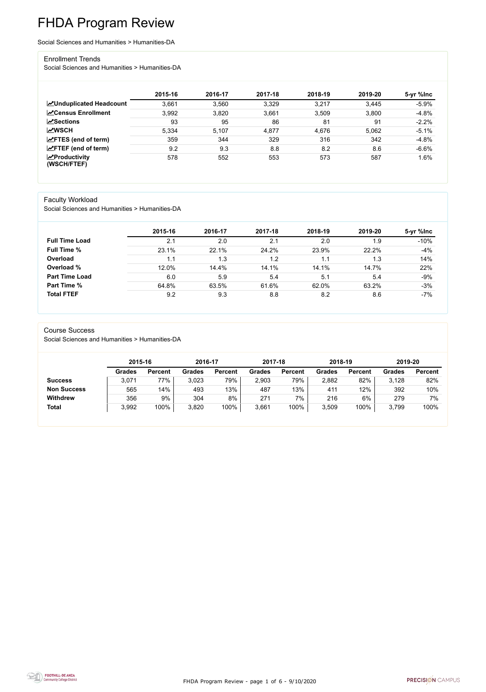FHDA Program Review - page 1 of 6 - 9/10/2020



# FHDA Program Review

Social Sciences and Humanities > Humanities-DA

#### Enrollment Trends

Social Sciences and Humanities > Humanities-DA

|                                                  | 2015-16 | 2016-17 | 2017-18 | 2018-19 | 2019-20 | 5-yr %lnc |
|--------------------------------------------------|---------|---------|---------|---------|---------|-----------|
| <b>ZUnduplicated Headcount</b>                   | 3,661   | 3,560   | 3,329   | 3,217   | 3,445   | $-5.9%$   |
| <b>ZCensus Enrollment</b>                        | 3,992   | 3,820   | 3,661   | 3,509   | 3,800   | $-4.8%$   |
| <b>ZSections</b>                                 | 93      | 95      | 86      | 81      | 91      | $-2.2%$   |
| <b>MWSCH</b>                                     | 5,334   | 5,107   | 4,877   | 4,676   | 5,062   | $-5.1%$   |
| $\angle$ FTES (end of term)                      | 359     | 344     | 329     | 316     | 342     | $-4.8%$   |
| $\mathsf{Z}$ FTEF (end of term)                  | 9.2     | 9.3     | 8.8     | 8.2     | 8.6     | $-6.6%$   |
| $\sqrt{\frac{1}{2}}$ Productivity<br>(WSCH/FTEF) | 578     | 552     | 553     | 573     | 587     | 1.6%      |

### Faculty Workload

Social Sciences and Humanities > Humanities-DA

|                       | 2015-16 | 2016-17 | 2017-18 | 2018-19 | 2019-20 | 5-yr %lnc |
|-----------------------|---------|---------|---------|---------|---------|-----------|
| <b>Full Time Load</b> | 2.1     | 2.0     | 2.1     | 2.0     | 1.9     | $-10%$    |
| <b>Full Time %</b>    | 23.1%   | 22.1%   | 24.2%   | 23.9%   | 22.2%   | $-4%$     |
| Overload              | 1.1     | 1.3     | 1.2     | 1.1     | 1.3     | 14%       |
| Overload %            | 12.0%   | 14.4%   | 14.1%   | 14.1%   | 14.7%   | 22%       |
| <b>Part Time Load</b> | 6.0     | 5.9     | 5.4     | 5.1     | 5.4     | $-9%$     |
| <b>Part Time %</b>    | 64.8%   | 63.5%   | 61.6%   | 62.0%   | 63.2%   | $-3%$     |
| <b>Total FTEF</b>     | 9.2     | 9.3     | 8.8     | 8.2     | 8.6     | $-7%$     |

#### Course Success

Social Sciences and Humanities > Humanities-DA

|                    | 2015-16       |                | 2016-17       |                | 2017-18       |                | 2018-19       |                | 2019-20       |                |
|--------------------|---------------|----------------|---------------|----------------|---------------|----------------|---------------|----------------|---------------|----------------|
|                    | <b>Grades</b> | <b>Percent</b> | <b>Grades</b> | <b>Percent</b> | <b>Grades</b> | <b>Percent</b> | <b>Grades</b> | <b>Percent</b> | <b>Grades</b> | <b>Percent</b> |
| <b>Success</b>     | 3,071         | 77%            | 3,023         | 79%            | 2,903         | 79%            | 2,882         | 82%            | 3,128         | 82%            |
| <b>Non Success</b> | 565           | 14%            | 493           | 13%            | 487           | 13%            | 411           | 12%            | 392           | 10%            |
| <b>Withdrew</b>    | 356           | 9%             | 304           | 8%             | 271           | 7%             | 216           | 6%             | 279           | 7%             |
| <b>Total</b>       | 3,992         | 100%           | 3,820         | 100%           | 3,661         | 100%           | 3,509         | 100%           | 3,799         | 100%           |

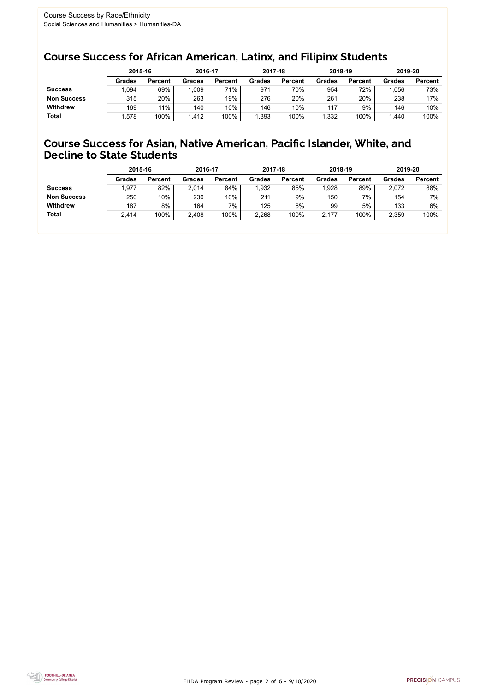FHDA Program Review - page 2 of 6 - 9/10/2020



### Course Success for African American, Latinx, and Filipinx Students

### Course Success for Asian, Native American, Pacific Islander, White, and Decline to State Students

|                    |               | 2015-16        |               | 2016-17        |               | 2017-18        | 2018-19       |                | 2019-20 |                |
|--------------------|---------------|----------------|---------------|----------------|---------------|----------------|---------------|----------------|---------|----------------|
|                    | <b>Grades</b> | <b>Percent</b> | <b>Grades</b> | <b>Percent</b> | <b>Grades</b> | <b>Percent</b> | <b>Grades</b> | <b>Percent</b> | Grades  | <b>Percent</b> |
| <b>Success</b>     | ,094          | 69%            | 009           | 71%            | 971           | 70%            | 954           | 72%            | .056    | 73%            |
| <b>Non Success</b> | 315           | 20%            | 263           | 19%            | 276           | 20%            | 261           | 20%            | 238     | 17%            |
| <b>Withdrew</b>    | 169           | 11%            | 140           | 10%            | 146           | 10%            | 117           | 9%             | 146     | 10%            |
| <b>Total</b>       | .578          | 100%           | 1,412         | 100%           | 393, ا        | 100%           | ,332          | 100%           | .440    | 100%           |

|                    | 2015-16       |                | 2016-17       |                | 2017-18       |                | 2018-19       |                | 2019-20 |                |
|--------------------|---------------|----------------|---------------|----------------|---------------|----------------|---------------|----------------|---------|----------------|
|                    | <b>Grades</b> | <b>Percent</b> | <b>Grades</b> | <b>Percent</b> | <b>Grades</b> | <b>Percent</b> | <b>Grades</b> | <b>Percent</b> | Grades  | <b>Percent</b> |
| <b>Success</b>     | ,977          | 82%            | 2,014         | 84%            | 1,932         | 85%            | 1,928         | 89%            | 2,072   | 88%            |
| <b>Non Success</b> | 250           | 10%            | 230           | $10\%$         | 211           | 9%             | 150           | 7%             | 154     | 7%             |
| <b>Withdrew</b>    | 187           | 8%             | 164           | 7%             | 125           | 6%             | 99            | 5%             | 133     | 6%             |
| <b>Total</b>       | 2,414         | 100%           | 2,408         | 100%           | 2,268         | 100%           | 2,177         | 100%           | 2,359   | 100%           |
|                    |               |                |               |                |               |                |               |                |         |                |

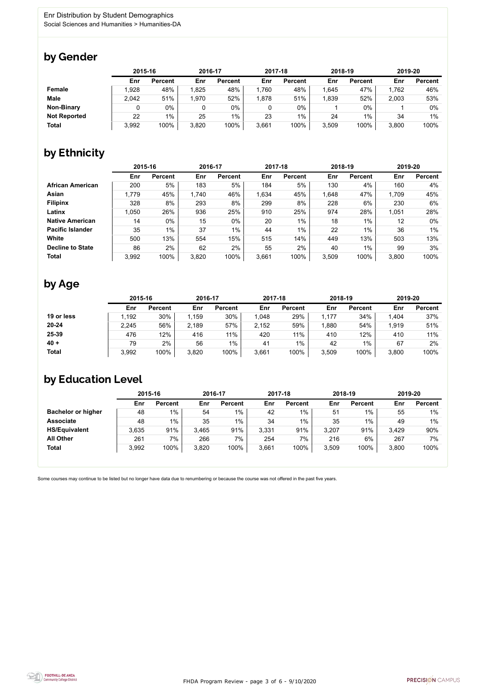FHDA Program Review - page 3 of 6 - 9/10/2020



Some courses may continue to be listed but no longer have data due to renumbering or because the course was not offered in the past five years.



### by Gender

|                     | 2015-16 |                |       | 2016-17        |       | 2017-18        | 2018-19 |                | 2019-20 |                |
|---------------------|---------|----------------|-------|----------------|-------|----------------|---------|----------------|---------|----------------|
|                     | Enr     | <b>Percent</b> | Enr   | <b>Percent</b> | Enr   | <b>Percent</b> | Enr     | <b>Percent</b> | Enr     | <b>Percent</b> |
| <b>Female</b>       | 1.928   | 48%            | 1,825 | 48%            | 1,760 | 48%            | ,645    | 47%            | 1,762   | 46%            |
| <b>Male</b>         | 2,042   | 51%            | 1,970 | 52%            | 1,878 | 51%            | 1,839   | 52%            | 2,003   | 53%            |
| <b>Non-Binary</b>   |         | 0%             |       | $0\%$          |       | $0\%$          |         | $0\%$          |         | $0\%$          |
| <b>Not Reported</b> | 22      | $1\%$          | 25    | $1\%$          | 23    | 1%             | 24      | 1%             | 34      | $1\%$          |
| <b>Total</b>        | 3,992   | 100%           | 3,820 | 100%           | 3,661 | 100%           | 3,509   | 100%           | 3,800   | 100%           |

## by Ethnicity

|                         | 2015-16 |                |       | 2016-17        |       | 2017-18        | 2018-19 |                | 2019-20 |                |
|-------------------------|---------|----------------|-------|----------------|-------|----------------|---------|----------------|---------|----------------|
|                         | Enr     | <b>Percent</b> | Enr   | <b>Percent</b> | Enr   | <b>Percent</b> | Enr     | <b>Percent</b> | Enr     | <b>Percent</b> |
| <b>African American</b> | 200     | 5%             | 183   | 5%             | 184   | 5%             | 130     | 4%             | 160     | 4%             |
| Asian                   | 1,779   | 45%            | 1,740 | 46%            | 1,634 | 45%            | 1,648   | 47%            | 1,709   | 45%            |
| <b>Filipinx</b>         | 328     | 8%             | 293   | 8%             | 299   | 8%             | 228     | 6%             | 230     | 6%             |
| Latinx                  | 1,050   | 26%            | 936   | 25%            | 910   | 25%            | 974     | 28%            | 1,051   | 28%            |
| <b>Native American</b>  | 14      | $0\%$          | 15    | $0\%$          | 20    | 1%             | 18      | $1\%$          | 12      | $0\%$          |
| <b>Pacific Islander</b> | 35      | $1\%$          | 37    | $1\%$          | 44    | $1\%$          | 22      | $1\%$          | 36      | 1%             |
| White                   | 500     | 13%            | 554   | 15%            | 515   | 14%            | 449     | 13%            | 503     | 13%            |
| <b>Decline to State</b> | 86      | 2%             | 62    | 2%             | 55    | 2%             | 40      | 1%             | 99      | 3%             |
| <b>Total</b>            | 3.992   | 100%           | 3,820 | 100%           | 3,661 | 100%           | 3,509   | 100%           | 3,800   | 100%           |

## by Age

|              | 2015-16 |                | 2016-17 |                | 2017-18 |                | 2018-19 |                | 2019-20 |                |
|--------------|---------|----------------|---------|----------------|---------|----------------|---------|----------------|---------|----------------|
|              | Enr     | <b>Percent</b> | Enr     | <b>Percent</b> | Enr     | <b>Percent</b> | Enr     | <b>Percent</b> | Enr     | <b>Percent</b> |
| 19 or less   | ,192    | 30%            | 1,159   | 30%            | 1,048   | 29%            | 1,177   | 34%            | 1,404   | 37%            |
| $20 - 24$    | 2,245   | 56%            | 2,189   | 57%            | 2,152   | 59%            | ,880    | 54%            | 1,919   | 51%            |
| 25-39        | 476     | 12%            | 416     | 11%            | 420     | 11%            | 410     | 12%            | 410     | 11%            |
| $40 +$       | 79      | 2%             | 56      | $1\%$          | 41      | 1%             | 42      | $1\%$          | 67      | 2%             |
| <b>Total</b> | 3,992   | 100%           | 3,820   | 100%           | 3,661   | 100%           | 3,509   | 100%           | 3,800   | 100%           |

### by Education Level

|                           | 2015-16 |                |       | 2016-17        |       | 2017-18        | 2018-19 |                | 2019-20 |                |
|---------------------------|---------|----------------|-------|----------------|-------|----------------|---------|----------------|---------|----------------|
|                           | Enr     | <b>Percent</b> | Enr   | <b>Percent</b> | Enr   | <b>Percent</b> | Enr     | <b>Percent</b> | Enr     | <b>Percent</b> |
| <b>Bachelor or higher</b> | 48      | $1\%$          | 54    | $1\%$          | 42    | $1\%$          | 51      | $1\%$          | 55      | 1%             |
| <b>Associate</b>          | 48      | $1\%$          | 35    | $1\%$          | 34    | $1\%$          | 35      | $1\%$          | 49      | $1\%$          |
| <b>HS/Equivalent</b>      | 3.635   | 91%            | 3,465 | 91%            | 3,331 | 91%            | 3,207   | 91%            | 3,429   | 90%            |
| <b>All Other</b>          | 261     | 7%             | 266   | 7%             | 254   | 7%             | 216     | 6%             | 267     | 7%             |
| <b>Total</b>              | 3,992   | 100%           | 3,820 | 100%           | 3,661 | 100%           | 3,509   | 100%           | 3,800   | 100%           |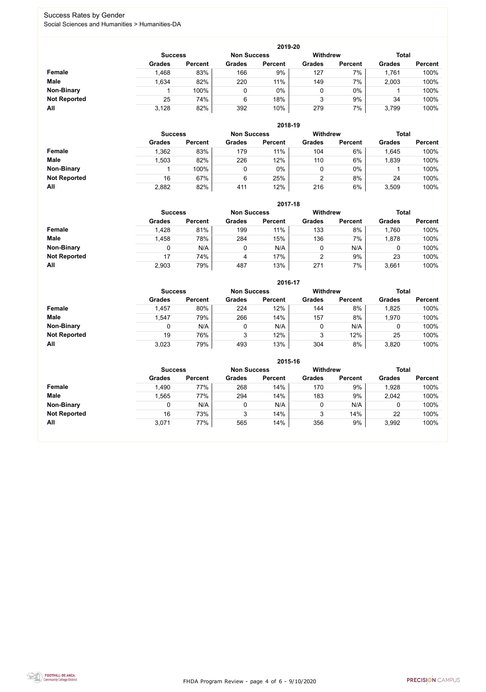FHDA Program Review - page 4 of 6 - 9/10/2020



#### Success Rates by Gender Social Sciences and Humanities > Humanities-DA

|                     |                | 2019-20        |                    |                |                 |                |               |                |  |  |  |  |  |  |
|---------------------|----------------|----------------|--------------------|----------------|-----------------|----------------|---------------|----------------|--|--|--|--|--|--|
|                     | <b>Success</b> |                | <b>Non Success</b> |                | <b>Withdrew</b> |                | <b>Total</b>  |                |  |  |  |  |  |  |
|                     | <b>Grades</b>  | <b>Percent</b> | <b>Grades</b>      | <b>Percent</b> | <b>Grades</b>   | <b>Percent</b> | <b>Grades</b> | <b>Percent</b> |  |  |  |  |  |  |
| <b>Female</b>       | 1,468          | 83%            | 166                | 9%             | 127             | 7%             | 1,761         | 100%           |  |  |  |  |  |  |
| <b>Male</b>         | 1,634          | 82%            | 220                | 11%            | 149             | 7%             | 2,003         | 100%           |  |  |  |  |  |  |
| <b>Non-Binary</b>   |                | 100%           |                    | 0%             | 0               | $0\%$          |               | 100%           |  |  |  |  |  |  |
| <b>Not Reported</b> | 25             | 74%            | 6                  | 18%            | 3               | 9%             | 34            | 100%           |  |  |  |  |  |  |
| All                 | 3,128          | 82%            | 392                | 10%            | 279             | 7%             | 3,799         | 100%           |  |  |  |  |  |  |

|                     |               | 2018-19                              |               |                |               |                 |               |                |  |  |  |  |  |  |
|---------------------|---------------|--------------------------------------|---------------|----------------|---------------|-----------------|---------------|----------------|--|--|--|--|--|--|
|                     |               | <b>Non Success</b><br><b>Success</b> |               |                |               | <b>Withdrew</b> | <b>Total</b>  |                |  |  |  |  |  |  |
|                     | <b>Grades</b> | <b>Percent</b>                       | <b>Grades</b> | <b>Percent</b> | <b>Grades</b> | <b>Percent</b>  | <b>Grades</b> | <b>Percent</b> |  |  |  |  |  |  |
| Female              | 1,362         | 83%                                  | 179           | 11%            | 104           | 6%              | 1,645         | 100%           |  |  |  |  |  |  |
| <b>Male</b>         | ,503          | 82%                                  | 226           | 12%            | 110           | 6%              | 1,839         | 100%           |  |  |  |  |  |  |
| <b>Non-Binary</b>   |               | 100%                                 |               | $0\%$          | υ             | $0\%$           |               | 100%           |  |  |  |  |  |  |
| <b>Not Reported</b> | 16            | 67%                                  | 6             | 25%            | 2             | 8%              | 24            | 100%           |  |  |  |  |  |  |
| All                 | 2,882         | 82%                                  | 411           | 12%            | 216           | 6%              | 3,509         | 100%           |  |  |  |  |  |  |

|                     |               | 2017-18                                                                 |               |                |               |                |               |                |  |  |  |  |  |
|---------------------|---------------|-------------------------------------------------------------------------|---------------|----------------|---------------|----------------|---------------|----------------|--|--|--|--|--|
|                     |               | <b>Withdrew</b><br><b>Total</b><br><b>Non Success</b><br><b>Success</b> |               |                |               |                |               |                |  |  |  |  |  |
|                     | <b>Grades</b> | <b>Percent</b>                                                          | <b>Grades</b> | <b>Percent</b> | <b>Grades</b> | <b>Percent</b> | <b>Grades</b> | <b>Percent</b> |  |  |  |  |  |
| <b>Female</b>       | 1,428         | 81%                                                                     | 199           | 11%            | 133           | 8%             | 1,760         | 100%           |  |  |  |  |  |
| <b>Male</b>         | 1,458         | 78%                                                                     | 284           | 15%            | 136           | 7%             | 878,          | 100%           |  |  |  |  |  |
| <b>Non-Binary</b>   | 0             | N/A                                                                     | 0             | N/A            | 0             | N/A            | 0             | 100%           |  |  |  |  |  |
| <b>Not Reported</b> | 17            | 74%                                                                     | 4             | 17%            | 2             | 9%             | 23            | 100%           |  |  |  |  |  |
| All                 | 2,903         | 79%                                                                     | 487           | 13%            | 271           | 7%             | 3,661         | 100%           |  |  |  |  |  |

|                     |                |                    |               | 2016-17         |               |                |               |                |
|---------------------|----------------|--------------------|---------------|-----------------|---------------|----------------|---------------|----------------|
|                     | <b>Success</b> | <b>Non Success</b> |               | <b>Withdrew</b> |               | <b>Total</b>   |               |                |
|                     | <b>Grades</b>  | <b>Percent</b>     | <b>Grades</b> | <b>Percent</b>  | <b>Grades</b> | <b>Percent</b> | <b>Grades</b> | <b>Percent</b> |
| Female              | 1,457          | 80%                | 224           | 12%             | 144           | 8%             | 1,825         | 100%           |
| <b>Male</b>         | 1,547          | 79%                | 266           | 14%             | 157           | 8%             | 1,970         | 100%           |
| <b>Non-Binary</b>   | 0              | N/A                |               | N/A             | 0             | N/A            | 0             | 100%           |
| <b>Not Reported</b> | 19             | 76%                | 3             | 12%             | 3             | 12%            | 25            | 100%           |
| All                 | 3,023          | 79%                | 493           | 13%             | 304           | 8%             | 3,820         | 100%           |

|                     |                |                |                    |                | 2015-16         |                |               |                |  |
|---------------------|----------------|----------------|--------------------|----------------|-----------------|----------------|---------------|----------------|--|
|                     | <b>Success</b> |                | <b>Non Success</b> |                | <b>Withdrew</b> |                | <b>Total</b>  |                |  |
|                     | <b>Grades</b>  | <b>Percent</b> | <b>Grades</b>      | <b>Percent</b> | <b>Grades</b>   | <b>Percent</b> | <b>Grades</b> | <b>Percent</b> |  |
| Female              | 1,490          | 77%            | 268                | 14%            | 170             | 9%             | 1,928         | 100%           |  |
| <b>Male</b>         | .565           | 77%            | 294                | 14%            | 183             | 9%             | 2,042         | 100%           |  |
| <b>Non-Binary</b>   |                | N/A            | 0                  | N/A            |                 | N/A            | 0             | 100%           |  |
| <b>Not Reported</b> | 16             | 73%            | ົ<br>J             | 14%            |                 | 14%            | 22            | 100%           |  |
| All                 | 3,071          | 77%            | 565                | 14%            | 356             | 9%             | 3,992         | 100%           |  |

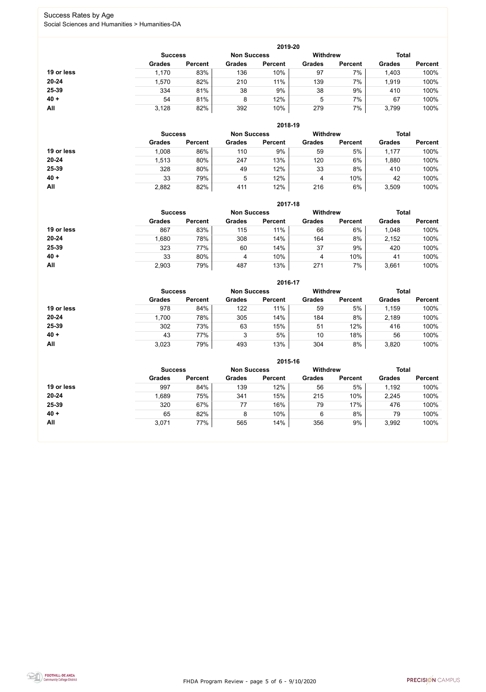FHDA Program Review - page 5 of 6 - 9/10/2020



### Success Rates by Age Social Sciences and Humanities > Humanities-DA

|            |                |                    |               | 2019-20         |               |                |               |                |
|------------|----------------|--------------------|---------------|-----------------|---------------|----------------|---------------|----------------|
|            | <b>Success</b> | <b>Non Success</b> |               | <b>Withdrew</b> |               | <b>Total</b>   |               |                |
|            | <b>Grades</b>  | <b>Percent</b>     | <b>Grades</b> | <b>Percent</b>  | <b>Grades</b> | <b>Percent</b> | <b>Grades</b> | <b>Percent</b> |
| 19 or less | 1,170          | 83%                | 136           | 10%             | 97            | 7%             | 1,403         | 100%           |
| $20 - 24$  | 1,570          | 82%                | 210           | 11%             | 139           | 7%             | 1,919         | 100%           |
| 25-39      | 334            | 81%                | 38            | 9%              | 38            | 9%             | 410           | 100%           |
| $40 +$     | 54             | 81%                | 8             | 12%             | 5             | 7%             | 67            | 100%           |
| All        | 3,128          | 82%                | 392           | 10%             | 279           | 7%             | 3,799         | 100%           |

|            |                |                    |               | 2018-19         |               |                |               |                |
|------------|----------------|--------------------|---------------|-----------------|---------------|----------------|---------------|----------------|
|            | <b>Success</b> | <b>Non Success</b> |               | <b>Withdrew</b> |               |                | <b>Total</b>  |                |
|            | <b>Grades</b>  | <b>Percent</b>     | <b>Grades</b> | <b>Percent</b>  | <b>Grades</b> | <b>Percent</b> | <b>Grades</b> | <b>Percent</b> |
| 19 or less | 1,008          | 86%                | 110           | 9%              | 59            | 5%             | 1,177         | 100%           |
| $20 - 24$  | 1,513          | 80%                | 247           | 13%             | 120           | 6%             | 1,880         | 100%           |
| 25-39      | 328            | 80%                | 49            | 12%             | 33            | 8%             | 410           | 100%           |
| $40 +$     | 33             | 79%                | 5             | 12%             | 4             | 10%            | 42            | 100%           |
| All        | 2,882          | 82%                | 411           | 12%             | 216           | 6%             | 3,509         | 100%           |

|            |                                      |                |               | 2017-18         |               |                |               |                |
|------------|--------------------------------------|----------------|---------------|-----------------|---------------|----------------|---------------|----------------|
|            | <b>Non Success</b><br><b>Success</b> |                |               | <b>Withdrew</b> |               | <b>Total</b>   |               |                |
|            | <b>Grades</b>                        | <b>Percent</b> | <b>Grades</b> | <b>Percent</b>  | <b>Grades</b> | <b>Percent</b> | <b>Grades</b> | <b>Percent</b> |
| 19 or less | 867                                  | 83%            | 115           | 11%             | 66            | 6%             | 1,048         | 100%           |
| $20 - 24$  | 1,680                                | 78%            | 308           | 14%             | 164           | 8%             | 2,152         | 100%           |
| 25-39      | 323                                  | 77%            | 60            | 14%             | 37            | 9%             | 420           | 100%           |
| $40 +$     | 33                                   | 80%            | 4             | 10%             | 4             | 10%            | 41            | 100%           |
| All        | 2,903                                | 79%            | 487           | 13%             | 271           | 7%             | 3,661         | 100%           |

|            |                |                    |               | 2016-17         |               |                |               |                |
|------------|----------------|--------------------|---------------|-----------------|---------------|----------------|---------------|----------------|
|            | <b>Success</b> | <b>Non Success</b> |               | <b>Withdrew</b> | <b>Total</b>  |                |               |                |
|            | <b>Grades</b>  | <b>Percent</b>     | <b>Grades</b> | <b>Percent</b>  | <b>Grades</b> | <b>Percent</b> | <b>Grades</b> | <b>Percent</b> |
| 19 or less | 978            | 84%                | 122           | 11%             | 59            | 5%             | 1,159         | 100%           |
| $20 - 24$  | 1,700          | 78%                | 305           | 14%             | 184           | 8%             | 2,189         | 100%           |
| 25-39      | 302            | 73%                | 63            | 15%             | 51            | 12%            | 416           | 100%           |
| $40 +$     | 43             | 77%                | 3             | 5%              | 10            | 18%            | 56            | 100%           |
| <b>All</b> | 3,023          | 79%                | 493           | 13%             | 304           | 8%             | 3,820         | 100%           |

|            |                |                |               | 2015-16            |                 |                |               |                |
|------------|----------------|----------------|---------------|--------------------|-----------------|----------------|---------------|----------------|
|            | <b>Success</b> |                |               | <b>Non Success</b> | <b>Withdrew</b> |                | <b>Total</b>  |                |
|            | <b>Grades</b>  | <b>Percent</b> | <b>Grades</b> | <b>Percent</b>     | <b>Grades</b>   | <b>Percent</b> | <b>Grades</b> | <b>Percent</b> |
| 19 or less | 997            | 84%            | 139           | 12%                | 56              | 5%             | 1,192         | 100%           |
| $20 - 24$  | 1,689          | 75%            | 341           | 15%                | 215             | 10%            | 2,245         | 100%           |
| 25-39      | 320            | 67%            | 77            | 16%                | 79              | 17%            | 476           | 100%           |
| $40 +$     | 65             | 82%            | 8             | 10%                | 6               | 8%             | 79            | 100%           |
| All        | 3,071          | 77%            | 565           | 14%                | 356             | 9%             | 3,992         | 100%           |